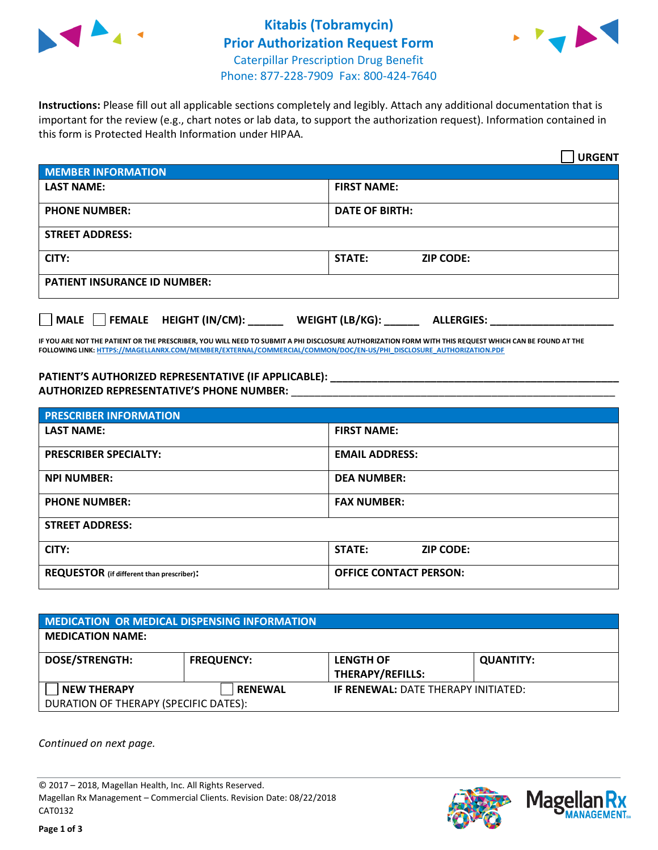



**Instructions:** Please fill out all applicable sections completely and legibly. Attach any additional documentation that is important for the review (e.g., chart notes or lab data, to support the authorization request). Information contained in this form is Protected Health Information under HIPAA.

|                                       | <b>URGENT</b>                        |  |  |  |
|---------------------------------------|--------------------------------------|--|--|--|
| <b>MEMBER INFORMATION</b>             |                                      |  |  |  |
| <b>LAST NAME:</b>                     | <b>FIRST NAME:</b>                   |  |  |  |
| <b>PHONE NUMBER:</b>                  | <b>DATE OF BIRTH:</b>                |  |  |  |
| <b>STREET ADDRESS:</b>                |                                      |  |  |  |
| CITY:                                 | <b>ZIP CODE:</b><br>STATE:           |  |  |  |
| <b>PATIENT INSURANCE ID NUMBER:</b>   |                                      |  |  |  |
| FEMALE HEIGHT (IN/CM):<br><b>MALE</b> | WEIGHT (LB/KG):<br><b>ALLERGIES:</b> |  |  |  |

**IF YOU ARE NOT THE PATIENT OR THE PRESCRIBER, YOU WILL NEED TO SUBMIT A PHI DISCLOSURE AUTHORIZATION FORM WITH THIS REQUEST WHICH CAN BE FOUND AT THE FOLLOWING LINK[: HTTPS://MAGELLANRX.COM/MEMBER/EXTERNAL/COMMERCIAL/COMMON/DOC/EN-US/PHI\\_DISCLOSURE\\_AUTHORIZATION.PDF](https://magellanrx.com/member/external/commercial/common/doc/en-us/PHI_Disclosure_Authorization.pdf)**

**PATIENT'S AUTHORIZED REPRESENTATIVE (IF APPLICABLE): \_\_\_\_\_\_\_\_\_\_\_\_\_\_\_\_\_\_\_\_\_\_\_\_\_\_\_\_\_\_\_\_\_\_\_\_\_\_\_\_\_\_\_\_\_\_\_\_\_ AUTHORIZED REPRESENTATIVE'S PHONE NUMBER:** \_\_\_\_\_\_\_\_\_\_\_\_\_\_\_\_\_\_\_\_\_\_\_\_\_\_\_\_\_\_\_\_\_\_\_\_\_\_\_\_\_\_\_\_\_\_\_\_\_\_\_\_\_\_\_

| <b>PRESCRIBER INFORMATION</b>             |                                   |  |  |  |
|-------------------------------------------|-----------------------------------|--|--|--|
| <b>LAST NAME:</b>                         | <b>FIRST NAME:</b>                |  |  |  |
| <b>PRESCRIBER SPECIALTY:</b>              | <b>EMAIL ADDRESS:</b>             |  |  |  |
| <b>NPI NUMBER:</b>                        | <b>DEA NUMBER:</b>                |  |  |  |
| <b>PHONE NUMBER:</b>                      | <b>FAX NUMBER:</b>                |  |  |  |
| <b>STREET ADDRESS:</b>                    |                                   |  |  |  |
| CITY:                                     | <b>STATE:</b><br><b>ZIP CODE:</b> |  |  |  |
| REQUESTOR (if different than prescriber): | <b>OFFICE CONTACT PERSON:</b>     |  |  |  |

| <b>MEDICATION OR MEDICAL DISPENSING INFORMATION</b> |                   |                                            |                  |  |  |
|-----------------------------------------------------|-------------------|--------------------------------------------|------------------|--|--|
| <b>MEDICATION NAME:</b>                             |                   |                                            |                  |  |  |
| <b>DOSE/STRENGTH:</b>                               | <b>FREQUENCY:</b> | <b>LENGTH OF</b>                           | <b>QUANTITY:</b> |  |  |
|                                                     |                   | <b>THERAPY/REFILLS:</b>                    |                  |  |  |
| <b>NEW THERAPY</b>                                  | <b>RENEWAL</b>    | <b>IF RENEWAL: DATE THERAPY INITIATED:</b> |                  |  |  |
| DURATION OF THERAPY (SPECIFIC DATES):               |                   |                                            |                  |  |  |

*Continued on next page.*

© 2017 – 2018, Magellan Health, Inc. All Rights Reserved. Magellan Rx Management – Commercial Clients. Revision Date: 08/22/2018 CAT0132



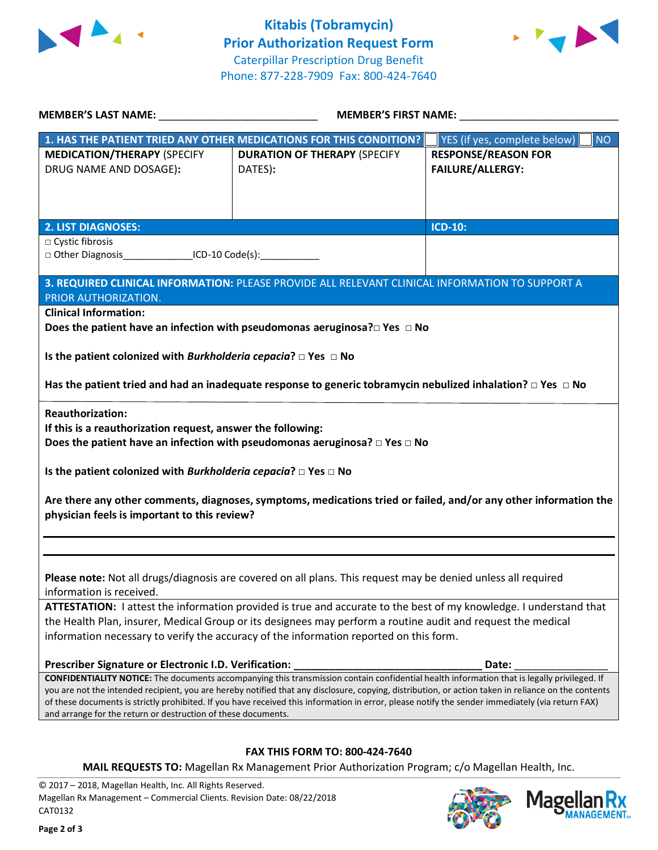



Mage

**Ilan Rx<br>ANAGEMENT...** 

| <b>MEMBER'S LAST NAME:</b> NAME:                                                                                                                                                                                                                                                                        | <b>MEMBER'S FIRST NAME:</b>                                                                                           |                                           |  |  |
|---------------------------------------------------------------------------------------------------------------------------------------------------------------------------------------------------------------------------------------------------------------------------------------------------------|-----------------------------------------------------------------------------------------------------------------------|-------------------------------------------|--|--|
|                                                                                                                                                                                                                                                                                                         | 1. HAS THE PATIENT TRIED ANY OTHER MEDICATIONS FOR THIS CONDITION?                                                    | YES (if yes, complete below)<br><b>NO</b> |  |  |
| <b>MEDICATION/THERAPY (SPECIFY</b>                                                                                                                                                                                                                                                                      | <b>DURATION OF THERAPY (SPECIFY</b>                                                                                   | <b>RESPONSE/REASON FOR</b>                |  |  |
| DRUG NAME AND DOSAGE):                                                                                                                                                                                                                                                                                  | DATES):                                                                                                               | <b>FAILURE/ALLERGY:</b>                   |  |  |
|                                                                                                                                                                                                                                                                                                         |                                                                                                                       |                                           |  |  |
|                                                                                                                                                                                                                                                                                                         |                                                                                                                       |                                           |  |  |
| <b>2. LIST DIAGNOSES:</b>                                                                                                                                                                                                                                                                               |                                                                                                                       | <b>ICD-10:</b>                            |  |  |
| □ Cystic fibrosis                                                                                                                                                                                                                                                                                       |                                                                                                                       |                                           |  |  |
| $\Box$ Other Diagnosis ICD-10 Code(s):                                                                                                                                                                                                                                                                  |                                                                                                                       |                                           |  |  |
|                                                                                                                                                                                                                                                                                                         |                                                                                                                       |                                           |  |  |
| PRIOR AUTHORIZATION.                                                                                                                                                                                                                                                                                    | 3. REQUIRED CLINICAL INFORMATION: PLEASE PROVIDE ALL RELEVANT CLINICAL INFORMATION TO SUPPORT A                       |                                           |  |  |
| <b>Clinical Information:</b>                                                                                                                                                                                                                                                                            |                                                                                                                       |                                           |  |  |
|                                                                                                                                                                                                                                                                                                         | Does the patient have an infection with pseudomonas aeruginosa? $\square$ Yes $\square$ No                            |                                           |  |  |
|                                                                                                                                                                                                                                                                                                         |                                                                                                                       |                                           |  |  |
| Is the patient colonized with Burkholderia cepacia? $\Box$ Yes $\Box$ No                                                                                                                                                                                                                                |                                                                                                                       |                                           |  |  |
|                                                                                                                                                                                                                                                                                                         |                                                                                                                       |                                           |  |  |
|                                                                                                                                                                                                                                                                                                         | Has the patient tried and had an inadequate response to generic tobramycin nebulized inhalation? $\Box$ Yes $\Box$ No |                                           |  |  |
| <b>Reauthorization:</b>                                                                                                                                                                                                                                                                                 |                                                                                                                       |                                           |  |  |
| If this is a reauthorization request, answer the following:                                                                                                                                                                                                                                             |                                                                                                                       |                                           |  |  |
|                                                                                                                                                                                                                                                                                                         | Does the patient have an infection with pseudomonas aeruginosa? $\Box$ Yes $\Box$ No                                  |                                           |  |  |
|                                                                                                                                                                                                                                                                                                         |                                                                                                                       |                                           |  |  |
| Is the patient colonized with Burkholderia cepacia? $\Box$ Yes $\Box$ No                                                                                                                                                                                                                                |                                                                                                                       |                                           |  |  |
|                                                                                                                                                                                                                                                                                                         |                                                                                                                       |                                           |  |  |
|                                                                                                                                                                                                                                                                                                         | Are there any other comments, diagnoses, symptoms, medications tried or failed, and/or any other information the      |                                           |  |  |
| physician feels is important to this review?                                                                                                                                                                                                                                                            |                                                                                                                       |                                           |  |  |
|                                                                                                                                                                                                                                                                                                         |                                                                                                                       |                                           |  |  |
|                                                                                                                                                                                                                                                                                                         |                                                                                                                       |                                           |  |  |
|                                                                                                                                                                                                                                                                                                         |                                                                                                                       |                                           |  |  |
| Please note: Not all drugs/diagnosis are covered on all plans. This request may be denied unless all required<br>information is received.                                                                                                                                                               |                                                                                                                       |                                           |  |  |
| ATTESTATION: I attest the information provided is true and accurate to the best of my knowledge. I understand that                                                                                                                                                                                      |                                                                                                                       |                                           |  |  |
| the Health Plan, insurer, Medical Group or its designees may perform a routine audit and request the medical                                                                                                                                                                                            |                                                                                                                       |                                           |  |  |
| information necessary to verify the accuracy of the information reported on this form.                                                                                                                                                                                                                  |                                                                                                                       |                                           |  |  |
|                                                                                                                                                                                                                                                                                                         |                                                                                                                       |                                           |  |  |
| Prescriber Signature or Electronic I.D. Verification:                                                                                                                                                                                                                                                   |                                                                                                                       | Date:                                     |  |  |
| <b>CONFIDENTIALITY NOTICE:</b> The documents accompanying this transmission contain confidential health information that is legally privileged. If                                                                                                                                                      |                                                                                                                       |                                           |  |  |
| you are not the intended recipient, you are hereby notified that any disclosure, copying, distribution, or action taken in reliance on the contents<br>of these documents is strictly prohibited. If you have received this information in error, please notify the sender immediately (via return FAX) |                                                                                                                       |                                           |  |  |
| and arrange for the return or destruction of these documents.                                                                                                                                                                                                                                           |                                                                                                                       |                                           |  |  |
|                                                                                                                                                                                                                                                                                                         |                                                                                                                       |                                           |  |  |
| <b>FAX THIS FORM TO: 800-424-7640</b>                                                                                                                                                                                                                                                                   |                                                                                                                       |                                           |  |  |
| MAIL REQUESTS TO: Magellan Rx Management Prior Authorization Program; c/o Magellan Health, Inc.                                                                                                                                                                                                         |                                                                                                                       |                                           |  |  |
| 2010 Morellon Hoolth Ine, All Dights Deserved                                                                                                                                                                                                                                                           |                                                                                                                       |                                           |  |  |

© 2017 – 2018, Magellan Health, Inc. All Rights Reserved. Magellan Rx Management – Commercial Clients. Revision Date: 08/22/2018 CAT0132